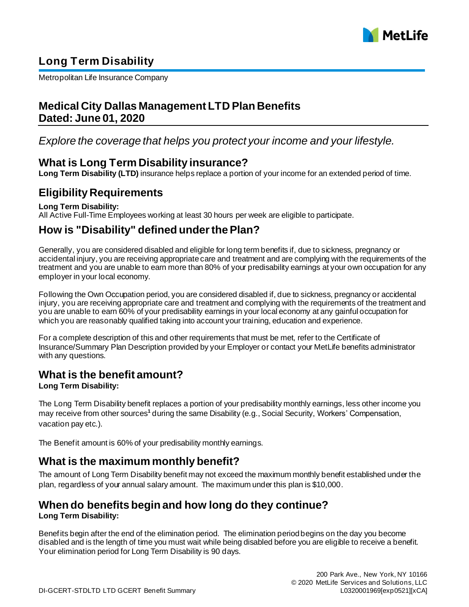

## **Long Term Disability**

Metropolitan Life Insurance Company

## **Medical City Dallas Management LTD Plan Benefits Dated: June 01, 2020**

*Explore the coverage that helps you protect your income and your lifestyle.*

## **What is Long Term Disability insurance?**

**Long Term Disability (LTD)** insurance helps replace a portion of your income for an extended period of time.

## **Eligibility Requirements**

### **Long Term Disability:**

All Active Full-Time Employees working at least 30 hours per week are eligible to participate.

## **How is "Disability" defined under the Plan?**

Generally, you are considered disabled and eligible for long term benefits if, due to sickness, pregnancy or accidental injury, you are receiving appropriate care and treatment and are complying with the requirements of the treatment and you are unable to earn more than 80% of your predisability earnings at your own occupation for any employer in your local economy.

Following the Own Occupation period, you are considered disabled if, due to sickness, pregnancy or accidental injury, you are receiving appropriate care and treatment and complying with the requirements of the treatment and you are unable to earn 60% of your predisability earnings in your local economy at any gainful occupation for which you are reasonably qualified taking into account your training, education and experience.

For a complete description of this and other requirements that must be met, refer to the Certificate of Insurance/Summary Plan Description provided by your Employer or contact your MetLife benefits administrator with any questions.

## **What is the benefit amount?**

### **Long Term Disability:**

The Long Term Disability benefit replaces a portion of your predisability monthly earnings, less other income you may receive from other sources**<sup>1</sup>** during the same Disability (e.g., Social Security, Workers' Compensation, vacation pay etc.).

The Benefit amount is 60% of your predisability monthly earnings.

## **What is the maximum monthly benefit?**

The amount of Long Term Disability benefit may not exceed the maximum monthly benefit established under the plan, regardless of your annual salary amount. The maximum under this plan is \$10,000.

### **When do benefits begin and how long do they continue? Long Term Disability:**

Benefits begin after the end of the elimination period. The elimination period begins on the day you become disabled and is the length of time you must wait while being disabled before you are eligible to receive a benefit. Your elimination period for Long Term Disability is 90 days.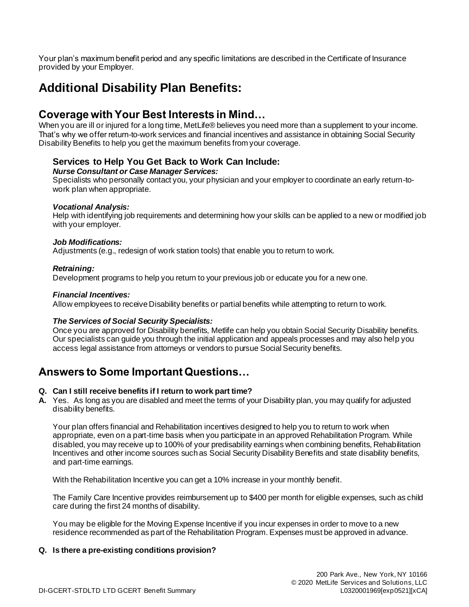Your plan's maximum benefit period and any specific limitations are described in the Certificate of Insurance provided by your Employer.

# **Additional Disability Plan Benefits:**

## **Coverage with Your Best Interests in Mind…**

When you are ill or injured for a long time, MetLife® believes you need more than a supplement to your income. That's why we offer return-to-work services and financial incentives and assistance in obtaining Social Security Disability Benefits to help you get the maximum benefits from your coverage.

### **Services to Help You Get Back to Work Can Include:**

### *Nurse Consultant or Case Manager Services:*

Specialists who personally contact you, your physician and your employer to coordinate an early return-towork plan when appropriate.

### *Vocational Analysis:*

Help with identifying job requirements and determining how your skills can be applied to a new or modified job with your employer.

### *Job Modifications:*

Adjustments (e.g., redesign of work station tools) that enable you to return to work.

### *Retraining:*

Development programs to help you return to your previous job or educate you for a new one.

### *Financial Incentives:*

Allow employees to receive Disability benefits or partial benefits while attempting to return to work.

### *The Services of Social Security Specialists:*

Once you are approved for Disability benefits, Metlife can help you obtain Social Security Disability benefits. Our specialists can guide you through the initial application and appeals processes and may also help you access legal assistance from attorneys or vendors to pursue Social Security benefits.

## **Answers to Some Important Questions…**

### **Q. Can I still receive benefits if I return to work part time?**

**A.** Yes. As long as you are disabled and meet the terms of your Disability plan, you may qualify for adjusted disability benefits.

Your plan offers financial and Rehabilitation incentives designed to help you to return to work when appropriate, even on a part-time basis when you participate in an approved Rehabilitation Program. While disabled, you may receive up to 100% of your predisability earnings when combining benefits, Rehabilitation Incentives and other income sources such as Social Security Disability Benefits and state disability benefits, and part-time earnings.

With the Rehabilitation Incentive you can get a 10% increase in your monthly benefit.

The Family Care Incentive provides reimbursement up to \$400 per month for eligible expenses, such as child care during the first 24 months of disability.

You may be eligible for the Moving Expense Incentive if you incur expenses in order to move to a new residence recommended as part of the Rehabilitation Program. Expenses must be approved in advance.

### **Q. Is there a pre-existing conditions provision?**